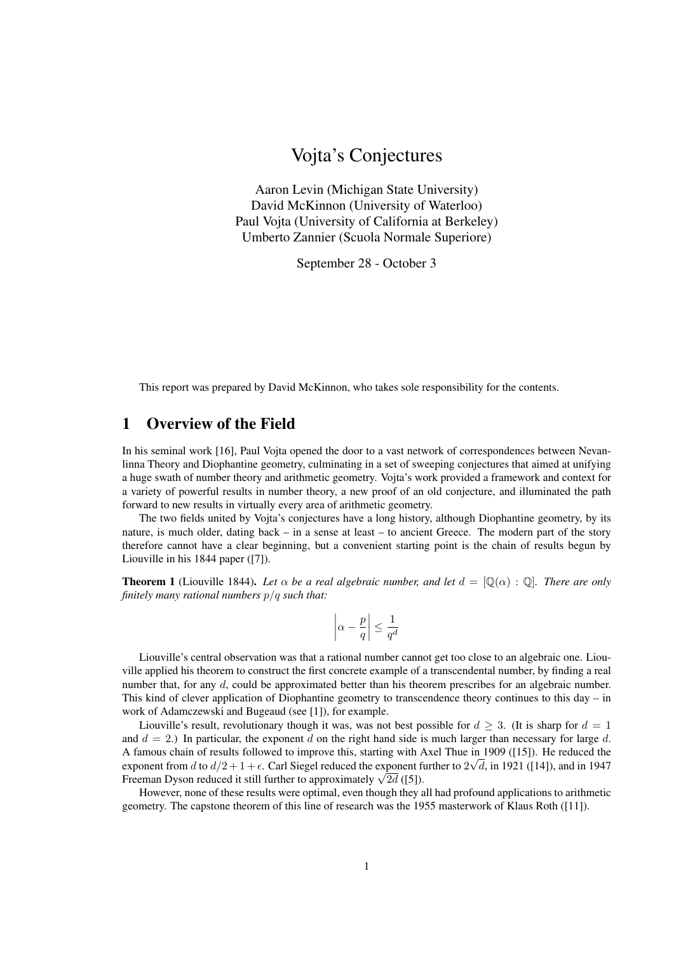# Vojta's Conjectures

Aaron Levin (Michigan State University) David McKinnon (University of Waterloo) Paul Vojta (University of California at Berkeley) Umberto Zannier (Scuola Normale Superiore)

September 28 - October 3

This report was prepared by David McKinnon, who takes sole responsibility for the contents.

## 1 Overview of the Field

In his seminal work [16], Paul Vojta opened the door to a vast network of correspondences between Nevanlinna Theory and Diophantine geometry, culminating in a set of sweeping conjectures that aimed at unifying a huge swath of number theory and arithmetic geometry. Vojta's work provided a framework and context for a variety of powerful results in number theory, a new proof of an old conjecture, and illuminated the path forward to new results in virtually every area of arithmetic geometry.

The two fields united by Vojta's conjectures have a long history, although Diophantine geometry, by its nature, is much older, dating back – in a sense at least – to ancient Greece. The modern part of the story therefore cannot have a clear beginning, but a convenient starting point is the chain of results begun by Liouville in his 1844 paper ([7]).

**Theorem 1** (Liouville 1844). Let  $\alpha$  be a real algebraic number, and let  $d = [\mathbb{Q}(\alpha) : \mathbb{Q}]$ . There are only *finitely many rational numbers* p/q *such that:*

$$
\left|\alpha - \frac{p}{q}\right| \le \frac{1}{q^d}
$$

Liouville's central observation was that a rational number cannot get too close to an algebraic one. Liouville applied his theorem to construct the first concrete example of a transcendental number, by finding a real number that, for any d, could be approximated better than his theorem prescribes for an algebraic number. This kind of clever application of Diophantine geometry to transcendence theory continues to this day – in work of Adamczewski and Bugeaud (see [1]), for example.

Liouville's result, revolutionary though it was, was not best possible for  $d \geq 3$ . (It is sharp for  $d = 1$ and  $d = 2$ .) In particular, the exponent d on the right hand side is much larger than necessary for large d. A famous chain of results followed to improve this, starting with Axel Thue in 1909 ([15]). He reduced the √ exponent from d to  $d/2 + 1 + \epsilon$ . Carl Siegel reduced the exponent further to  $2\sqrt{d}$ , in 1921 ([14]), and in 1947 exponent from a to  $a/2 + 1 + \epsilon$ . Carl Siegel reduced the exponent r<br>Freeman Dyson reduced it still further to approximately  $\sqrt{2d}$  ([5]).

However, none of these results were optimal, even though they all had profound applications to arithmetic geometry. The capstone theorem of this line of research was the 1955 masterwork of Klaus Roth ([11]).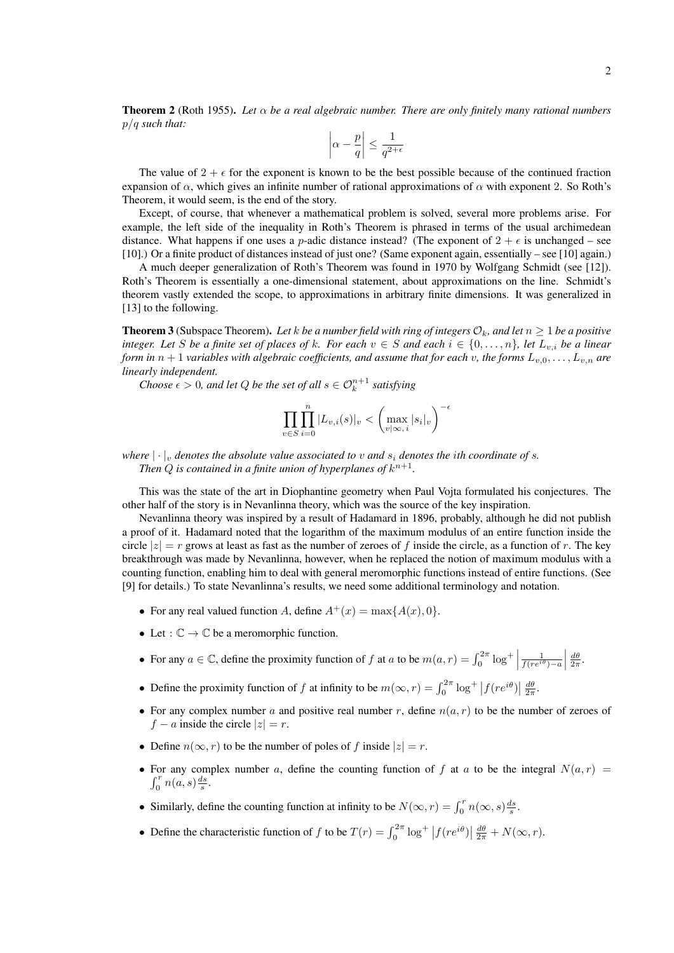Theorem 2 (Roth 1955). *Let* α *be a real algebraic number. There are only finitely many rational numbers* p/q *such that:*

$$
\left|\alpha - \frac{p}{q}\right| \le \frac{1}{q^{2+\epsilon}}
$$

The value of  $2 + \epsilon$  for the exponent is known to be the best possible because of the continued fraction expansion of  $\alpha$ , which gives an infinite number of rational approximations of  $\alpha$  with exponent 2. So Roth's Theorem, it would seem, is the end of the story.

Except, of course, that whenever a mathematical problem is solved, several more problems arise. For example, the left side of the inequality in Roth's Theorem is phrased in terms of the usual archimedean distance. What happens if one uses a *p*-adic distance instead? (The exponent of  $2 + \epsilon$  is unchanged – see [10].) Or a finite product of distances instead of just one? (Same exponent again, essentially – see [10] again.)

A much deeper generalization of Roth's Theorem was found in 1970 by Wolfgang Schmidt (see [12]). Roth's Theorem is essentially a one-dimensional statement, about approximations on the line. Schmidt's theorem vastly extended the scope, to approximations in arbitrary finite dimensions. It was generalized in [13] to the following.

**Theorem 3** (Subspace Theorem). Let k be a number field with ring of integers  $\mathcal{O}_k$ , and let  $n \geq 1$  be a positive *integer. Let* S *be a finite set of places of* k*. For each*  $v \in S$  *and each*  $i \in \{0, \ldots, n\}$ *, let*  $L_{v,i}$  *be a linear form in*  $n + 1$  *variables with algebraic coefficients, and assume that for each* v, the forms  $L_{v,0}, \ldots, L_{v,n}$  are *linearly independent.*

*Choose*  $\epsilon > 0$ , and let Q be the set of all  $s \in \mathcal{O}_k^{n+1}$  satisfying

$$
\prod_{v \in S} \prod_{i=0}^n |L_{v,i}(s)|_v < \left(\max_{v \mid \infty, i} |s_i|_v\right)^{-\epsilon}
$$

*where*  $|\cdot|_v$  *denotes the absolute value associated to v and*  $s_i$  *denotes the ith coordinate of s.* Then  $Q$  is contained in a finite union of hyperplanes of  $k^{n+1}$ .

This was the state of the art in Diophantine geometry when Paul Vojta formulated his conjectures. The other half of the story is in Nevanlinna theory, which was the source of the key inspiration.

Nevanlinna theory was inspired by a result of Hadamard in 1896, probably, although he did not publish a proof of it. Hadamard noted that the logarithm of the maximum modulus of an entire function inside the circle  $|z| = r$  grows at least as fast as the number of zeroes of f inside the circle, as a function of r. The key breakthrough was made by Nevanlinna, however, when he replaced the notion of maximum modulus with a counting function, enabling him to deal with general meromorphic functions instead of entire functions. (See [9] for details.) To state Nevanlinna's results, we need some additional terminology and notation.

- For any real valued function A, define  $A^+(x) = \max\{A(x), 0\}.$
- Let :  $\mathbb{C} \to \mathbb{C}$  be a meromorphic function.
- For any  $a \in \mathbb{C}$ , define the proximity function of f at a to be  $m(a, r) = \int_0^{2\pi} \log^+ \left| \right|$  $\frac{1}{f(re^{i\theta})-a}$  $rac{d\theta}{2\pi}$ .
- Define the proximity function of f at infinity to be  $m(\infty, r) = \int_0^{2\pi} \log^+ |f(re^{i\theta})| \frac{d\theta}{2\pi}$ .
- For any complex number a and positive real number r, define  $n(a, r)$  to be the number of zeroes of  $f - a$  inside the circle  $|z| = r$ .
- Define  $n(\infty, r)$  to be the number of poles of f inside  $|z| = r$ .
- For any complex number a, define the counting function of f at a to be the integral  $N(a, r)$  =  $\int_0^r n(a,s) \frac{ds}{s}$ .
- Similarly, define the counting function at infinity to be  $N(\infty, r) = \int_0^r n(\infty, s) \frac{ds}{s}$ .
- Define the characteristic function of f to be  $T(r) = \int_0^{2\pi} \log^+ |f(re^{i\theta})| \frac{d\theta}{2\pi} + N(\infty, r)$ .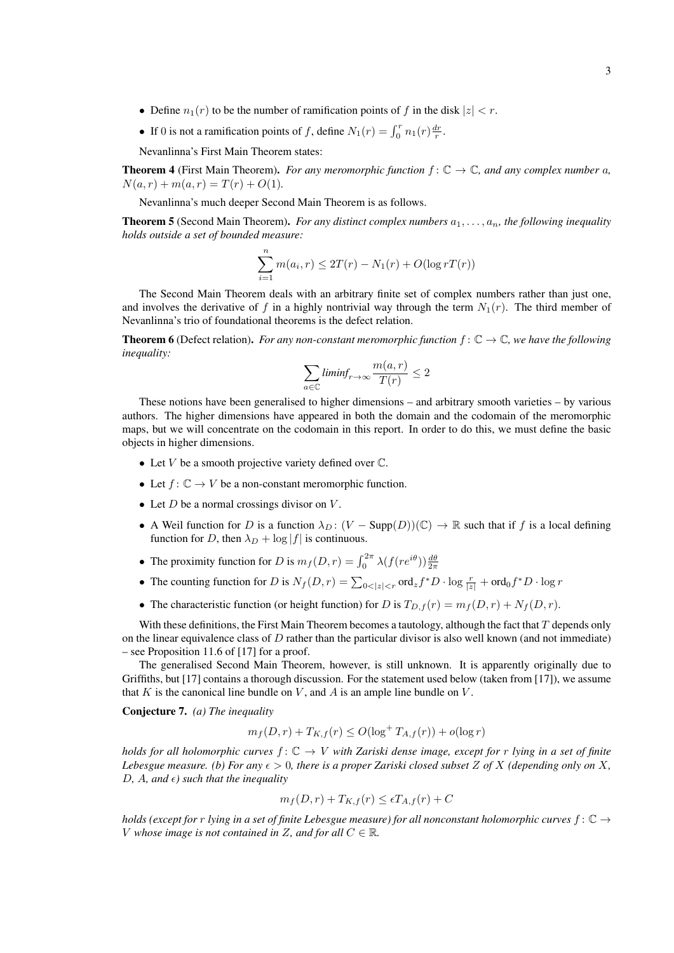- Define  $n_1(r)$  to be the number of ramification points of f in the disk  $|z| < r$ .
- If 0 is not a ramification points of f, define  $N_1(r) = \int_0^r n_1(r) \frac{dr}{r}$ .

Nevanlinna's First Main Theorem states:

**Theorem 4** (First Main Theorem). *For any meromorphic function*  $f: \mathbb{C} \to \mathbb{C}$ *, and any complex number* a*,*  $N(a, r) + m(a, r) = T(r) + O(1).$ 

Nevanlinna's much deeper Second Main Theorem is as follows.

**Theorem 5** (Second Main Theorem). *For any distinct complex numbers*  $a_1, \ldots, a_n$ , the following inequality *holds outside a set of bounded measure:*

$$
\sum_{i=1}^{n} m(a_i, r) \le 2T(r) - N_1(r) + O(\log rT(r))
$$

The Second Main Theorem deals with an arbitrary finite set of complex numbers rather than just one, and involves the derivative of f in a highly nontrivial way through the term  $N_1(r)$ . The third member of Nevanlinna's trio of foundational theorems is the defect relation.

**Theorem 6** (Defect relation). *For any non-constant meromorphic function*  $f: \mathbb{C} \to \mathbb{C}$ *, we have the following inequality:*

$$
\sum_{a \in \mathbb{C}} \textit{liminf}_{r \to \infty} \frac{m(a, r)}{T(r)} \le 2
$$

These notions have been generalised to higher dimensions – and arbitrary smooth varieties – by various authors. The higher dimensions have appeared in both the domain and the codomain of the meromorphic maps, but we will concentrate on the codomain in this report. In order to do this, we must define the basic objects in higher dimensions.

- Let  $V$  be a smooth projective variety defined over  $\mathbb C$ .
- Let  $f: \mathbb{C} \to V$  be a non-constant meromorphic function.
- Let  $D$  be a normal crossings divisor on  $V$ .
- A Weil function for D is a function  $\lambda_D$ :  $(V \text{Supp}(D))(\mathbb{C}) \to \mathbb{R}$  such that if f is a local defining function for D, then  $\lambda_D + \log |f|$  is continuous.
- The proximity function for D is  $m_f(D, r) = \int_0^{2\pi} \lambda(f(re^{i\theta})) \frac{d\theta}{2\pi}$
- The counting function for D is  $N_f(D, r) = \sum_{0 < |z| < r} \text{ord}_z f^* D \cdot \log \frac{r}{|z|} + \text{ord}_0 f^* D \cdot \log r$
- The characteristic function (or height function) for D is  $T_{D,f}(r) = m_f(D,r) + N_f(D,r)$ .

With these definitions, the First Main Theorem becomes a tautology, although the fact that  $T$  depends only on the linear equivalence class of  $D$  rather than the particular divisor is also well known (and not immediate) – see Proposition 11.6 of [17] for a proof.

The generalised Second Main Theorem, however, is still unknown. It is apparently originally due to Griffiths, but [17] contains a thorough discussion. For the statement used below (taken from [17]), we assume that K is the canonical line bundle on V, and A is an ample line bundle on V.

Conjecture 7. *(a) The inequality*

$$
m_f(D, r) + T_{K, f}(r) \le O(\log^+ T_{A, f}(r)) + o(\log r)
$$

*holds for all holomorphic curves*  $f: \mathbb{C} \to V$  *with Zariski dense image, except for* r *lying in a set of finite Lebesgue measure.* (b) For any  $\epsilon > 0$ , there is a proper Zariski closed subset Z of X (depending only on X,  $D, A, and \epsilon$  *such that the inequality* 

$$
m_f(D,r) + T_{K,f}(r) \le \epsilon T_{A,f}(r) + C
$$

*holds (except for r lying in a set of finite Lebesgue measure) for all nonconstant holomorphic curves*  $f: \mathbb{C} \to$ *V* whose image is not contained in Z, and for all  $C \in \mathbb{R}$ .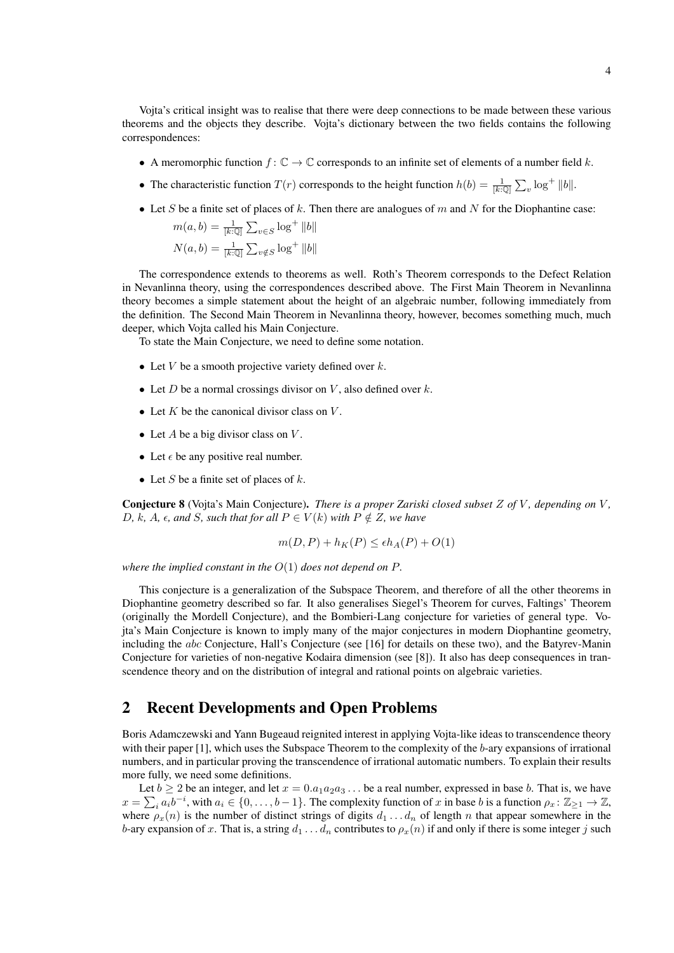Vojta's critical insight was to realise that there were deep connections to be made between these various theorems and the objects they describe. Vojta's dictionary between the two fields contains the following correspondences:

- A meromorphic function  $f: \mathbb{C} \to \mathbb{C}$  corresponds to an infinite set of elements of a number field k.
- The characteristic function  $T(r)$  corresponds to the height function  $h(b) = \frac{1}{[k:Q]} \sum_{v} \log^+ ||b||$ .
- Let S be a finite set of places of k. Then there are analogues of m and N for the Diophantine case:

$$
m(a, b) = \frac{1}{[k:\mathbb{Q}]} \sum_{v \in S} \log^+ ||b||
$$
  

$$
N(a, b) = \frac{1}{[k:\mathbb{Q}]} \sum_{v \notin S} \log^+ ||b||
$$

The correspondence extends to theorems as well. Roth's Theorem corresponds to the Defect Relation in Nevanlinna theory, using the correspondences described above. The First Main Theorem in Nevanlinna theory becomes a simple statement about the height of an algebraic number, following immediately from the definition. The Second Main Theorem in Nevanlinna theory, however, becomes something much, much deeper, which Vojta called his Main Conjecture.

To state the Main Conjecture, we need to define some notation.

- Let V be a smooth projective variety defined over  $k$ .
- Let  $D$  be a normal crossings divisor on  $V$ , also defined over  $k$ .
- Let  $K$  be the canonical divisor class on  $V$ .
- Let  $A$  be a big divisor class on  $V$ .
- Let  $\epsilon$  be any positive real number.
- Let S be a finite set of places of  $k$ .

Conjecture 8 (Vojta's Main Conjecture). *There is a proper Zariski closed subset* Z *of* V *, depending on* V *,* D, k, A,  $\epsilon$ , and S, such that for all  $P \in V(k)$  with  $P \notin Z$ , we have

$$
m(D, P) + h_K(P) \le \epsilon h_A(P) + O(1)
$$

*where the implied constant in the* O(1) *does not depend on* P*.*

This conjecture is a generalization of the Subspace Theorem, and therefore of all the other theorems in Diophantine geometry described so far. It also generalises Siegel's Theorem for curves, Faltings' Theorem (originally the Mordell Conjecture), and the Bombieri-Lang conjecture for varieties of general type. Vojta's Main Conjecture is known to imply many of the major conjectures in modern Diophantine geometry, including the abc Conjecture, Hall's Conjecture (see [16] for details on these two), and the Batyrev-Manin Conjecture for varieties of non-negative Kodaira dimension (see [8]). It also has deep consequences in transcendence theory and on the distribution of integral and rational points on algebraic varieties.

## 2 Recent Developments and Open Problems

Boris Adamczewski and Yann Bugeaud reignited interest in applying Vojta-like ideas to transcendence theory with their paper [1], which uses the Subspace Theorem to the complexity of the b-ary expansions of irrational numbers, and in particular proving the transcendence of irrational automatic numbers. To explain their results more fully, we need some definitions.

Let  $b \ge 2$  be an integer, and let  $x = 0.a_1a_2a_3...$  be a real number, expressed in base b. That is, we have  $x = \sum_i a_i b^{-i}$ , with  $a_i \in \{0, \ldots, b-1\}$ . The complexity function of x in base b is a function  $\rho_x \colon \mathbb{Z}_{\geq 1} \to \mathbb{Z}$ , where  $\rho_x(n)$  is the number of distinct strings of digits  $d_1 \ldots d_n$  of length n that appear somewhere in the b-ary expansion of x. That is, a string  $d_1 \ldots d_n$  contributes to  $\rho_x(n)$  if and only if there is some integer j such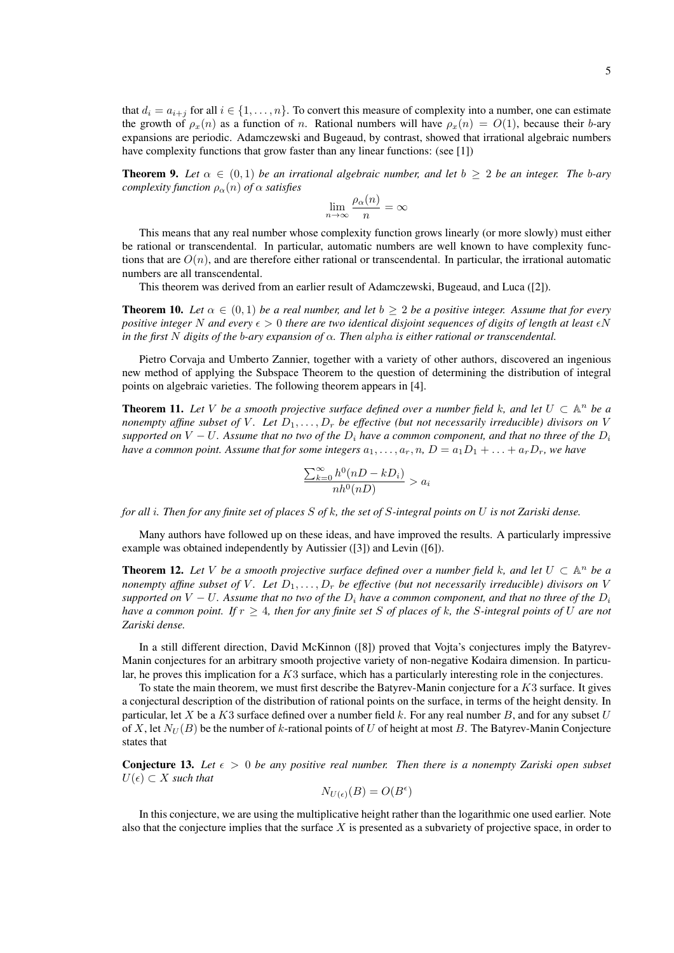that  $d_i = a_{i+j}$  for all  $i \in \{1, ..., n\}$ . To convert this measure of complexity into a number, one can estimate the growth of  $\rho_x(n)$  as a function of n. Rational numbers will have  $\rho_x(n) = O(1)$ , because their b-ary expansions are periodic. Adamczewski and Bugeaud, by contrast, showed that irrational algebraic numbers have complexity functions that grow faster than any linear functions: (see [1])

**Theorem 9.** Let  $\alpha \in (0,1)$  be an irrational algebraic number, and let  $b \geq 2$  be an integer. The b-ary *complexity function*  $\rho_{\alpha}(n)$  *of*  $\alpha$  *satisfies* 

$$
\lim_{n \to \infty} \frac{\rho_{\alpha}(n)}{n} = \infty
$$

This means that any real number whose complexity function grows linearly (or more slowly) must either be rational or transcendental. In particular, automatic numbers are well known to have complexity functions that are  $O(n)$ , and are therefore either rational or transcendental. In particular, the irrational automatic numbers are all transcendental.

This theorem was derived from an earlier result of Adamczewski, Bugeaud, and Luca ([2]).

**Theorem 10.** *Let*  $\alpha \in (0,1)$  *be a real number, and let*  $b \geq 2$  *be a positive integer. Assume that for every positive integer* N and every  $\epsilon > 0$  *there are two identical disjoint sequences of digits of length at least*  $\epsilon N$ *in the first* N *digits of the b-ary expansion of*  $\alpha$ *. Then alpha is either rational or transcendental.* 

Pietro Corvaja and Umberto Zannier, together with a variety of other authors, discovered an ingenious new method of applying the Subspace Theorem to the question of determining the distribution of integral points on algebraic varieties. The following theorem appears in [4].

**Theorem 11.** Let V be a smooth projective surface defined over a number field k, and let  $U \subset \mathbb{A}^n$  be a *nonempty affine subset of* V. Let  $D_1, \ldots, D_r$  be effective (but not necessarily irreducible) divisors on V *supported on*  $V - U$ *. Assume that no two of the*  $D_i$  *have a common component, and that no three of the*  $D_i$ *have a common point. Assume that for some integers*  $a_1, \ldots, a_r, n$ ,  $D = a_1D_1 + \ldots + a_rD_r$ , we have

$$
\frac{\sum_{k=0}^{\infty} h^0(nD - kD_i)}{nh^0(nD)} > a_i
$$

*for all* i*. Then for any finite set of places* S *of* k*, the set of* S*-integral points on* U *is not Zariski dense.*

Many authors have followed up on these ideas, and have improved the results. A particularly impressive example was obtained independently by Autissier ([3]) and Levin ([6]).

**Theorem 12.** Let V be a smooth projective surface defined over a number field k, and let  $U \subset \mathbb{A}^n$  be a *nonempty affine subset of V. Let*  $D_1, \ldots, D_r$  *be effective (but not necessarily irreducible) divisors on* V *supported on*  $V - U$ *. Assume that no two of the*  $D_i$  *have a common component, and that no three of the*  $D_i$ *have a common point. If*  $r \geq 4$ *, then for any finite set* S *of places of* k*, the* S-integral points of U are not *Zariski dense.*

In a still different direction, David McKinnon ([8]) proved that Vojta's conjectures imply the Batyrev-Manin conjectures for an arbitrary smooth projective variety of non-negative Kodaira dimension. In particular, he proves this implication for a K3 surface, which has a particularly interesting role in the conjectures.

To state the main theorem, we must first describe the Batyrev-Manin conjecture for a  $K3$  surface. It gives a conjectural description of the distribution of rational points on the surface, in terms of the height density. In particular, let X be a K3 surface defined over a number field k. For any real number B, and for any subset U of X, let  $N_U(B)$  be the number of k-rational points of U of height at most B. The Batyrev-Manin Conjecture states that

**Conjecture 13.** Let  $\epsilon > 0$  be any positive real number. Then there is a nonempty Zariski open subset  $U(\epsilon) \subset X$  *such that* 

$$
N_{U(\epsilon)}(B) = O(B^{\epsilon})
$$

In this conjecture, we are using the multiplicative height rather than the logarithmic one used earlier. Note also that the conjecture implies that the surface  $X$  is presented as a subvariety of projective space, in order to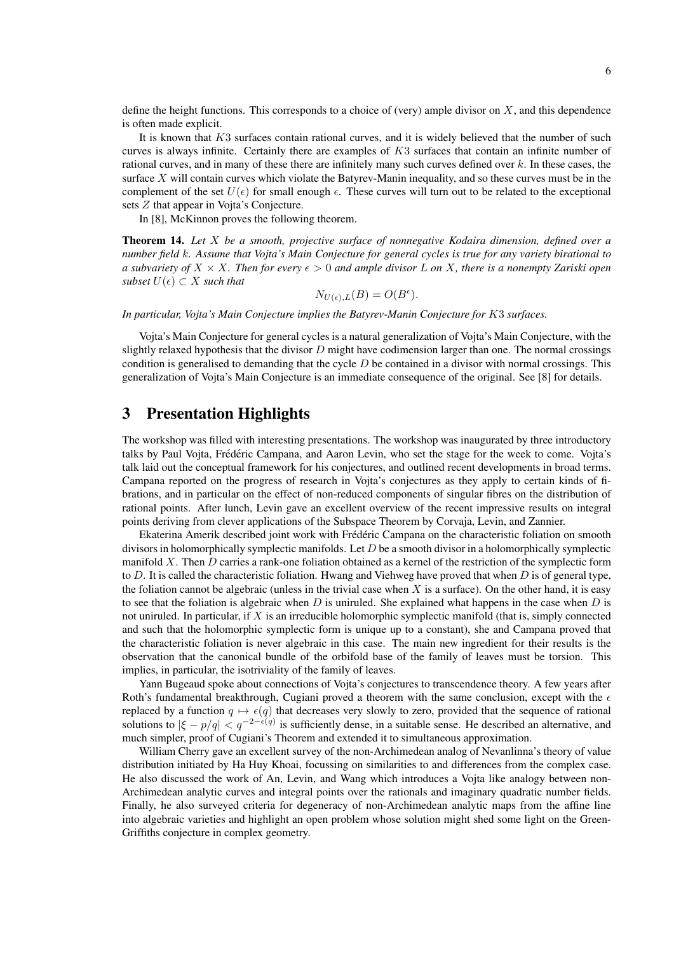define the height functions. This corresponds to a choice of (very) ample divisor on  $X$ , and this dependence is often made explicit.

It is known that K3 surfaces contain rational curves, and it is widely believed that the number of such curves is always infinite. Certainly there are examples of  $K3$  surfaces that contain an infinite number of rational curves, and in many of these there are infinitely many such curves defined over k. In these cases, the surface  $X$  will contain curves which violate the Batyrev-Manin inequality, and so these curves must be in the complement of the set  $U(\epsilon)$  for small enough  $\epsilon$ . These curves will turn out to be related to the exceptional sets Z that appear in Vojta's Conjecture.

In [8], McKinnon proves the following theorem.

Theorem 14. *Let* X *be a smooth, projective surface of nonnegative Kodaira dimension, defined over a number field* k*. Assume that Vojta's Main Conjecture for general cycles is true for any variety birational to a subvariety of*  $X \times X$ *. Then for every*  $\epsilon > 0$  *and ample divisor* L *on* X, *there is a nonempty Zariski open subset*  $U(\epsilon) \subset X$  *such that* 

$$
N_{U(\epsilon),L}(B) = O(B^{\epsilon}).
$$

*In particular, Vojta's Main Conjecture implies the Batyrev-Manin Conjecture for* K3 *surfaces.*

Vojta's Main Conjecture for general cycles is a natural generalization of Vojta's Main Conjecture, with the slightly relaxed hypothesis that the divisor  $D$  might have codimension larger than one. The normal crossings condition is generalised to demanding that the cycle  $D$  be contained in a divisor with normal crossings. This generalization of Vojta's Main Conjecture is an immediate consequence of the original. See [8] for details.

#### 3 Presentation Highlights

The workshop was filled with interesting presentations. The workshop was inaugurated by three introductory talks by Paul Vojta, Frédéric Campana, and Aaron Levin, who set the stage for the week to come. Vojta's talk laid out the conceptual framework for his conjectures, and outlined recent developments in broad terms. Campana reported on the progress of research in Vojta's conjectures as they apply to certain kinds of fibrations, and in particular on the effect of non-reduced components of singular fibres on the distribution of rational points. After lunch, Levin gave an excellent overview of the recent impressive results on integral points deriving from clever applications of the Subspace Theorem by Corvaja, Levin, and Zannier.

Ekaterina Amerik described joint work with Frédéric Campana on the characteristic foliation on smooth divisors in holomorphically symplectic manifolds. Let  $D$  be a smooth divisor in a holomorphically symplectic manifold  $X$ . Then  $D$  carries a rank-one foliation obtained as a kernel of the restriction of the symplectic form to D. It is called the characteristic foliation. Hwang and Viehweg have proved that when  $D$  is of general type, the foliation cannot be algebraic (unless in the trivial case when X is a surface). On the other hand, it is easy to see that the foliation is algebraic when  $D$  is uniruled. She explained what happens in the case when  $D$  is not uniruled. In particular, if X is an irreducible holomorphic symplectic manifold (that is, simply connected and such that the holomorphic symplectic form is unique up to a constant), she and Campana proved that the characteristic foliation is never algebraic in this case. The main new ingredient for their results is the observation that the canonical bundle of the orbifold base of the family of leaves must be torsion. This implies, in particular, the isotriviality of the family of leaves.

Yann Bugeaud spoke about connections of Vojta's conjectures to transcendence theory. A few years after Roth's fundamental breakthrough, Cugiani proved a theorem with the same conclusion, except with the  $\epsilon$ replaced by a function  $q \mapsto \epsilon(q)$  that decreases very slowly to zero, provided that the sequence of rational solutions to  $|\xi - p/q| < q^{-2-\epsilon(q)}$  is sufficiently dense, in a suitable sense. He described an alternative, and much simpler, proof of Cugiani's Theorem and extended it to simultaneous approximation.

William Cherry gave an excellent survey of the non-Archimedean analog of Nevanlinna's theory of value distribution initiated by Ha Huy Khoai, focussing on similarities to and differences from the complex case. He also discussed the work of An, Levin, and Wang which introduces a Vojta like analogy between non-Archimedean analytic curves and integral points over the rationals and imaginary quadratic number fields. Finally, he also surveyed criteria for degeneracy of non-Archimedean analytic maps from the affine line into algebraic varieties and highlight an open problem whose solution might shed some light on the Green-Griffiths conjecture in complex geometry.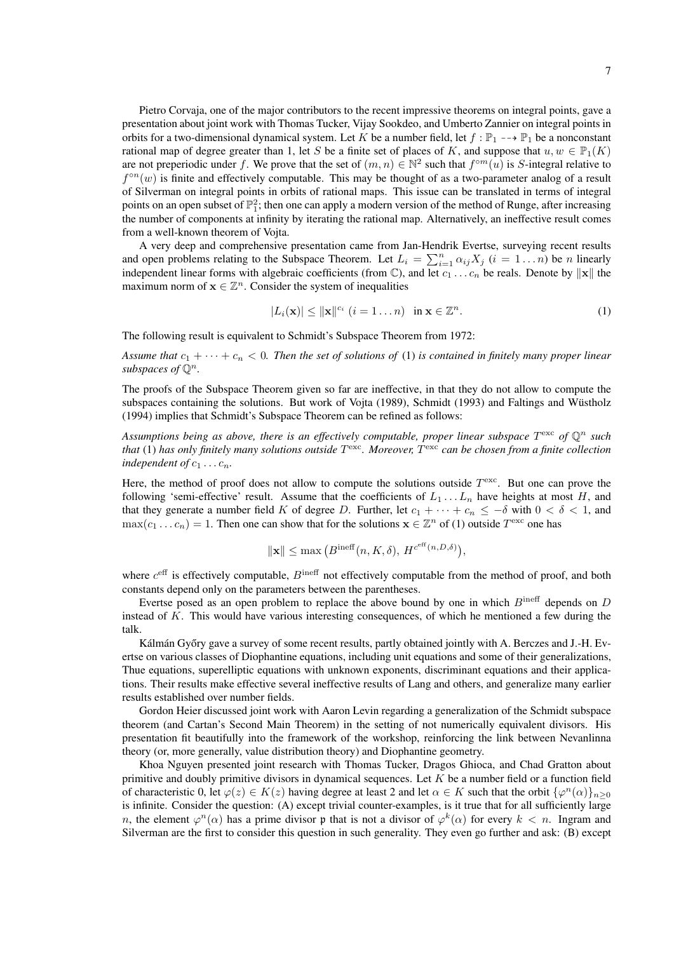Pietro Corvaja, one of the major contributors to the recent impressive theorems on integral points, gave a presentation about joint work with Thomas Tucker, Vijay Sookdeo, and Umberto Zannier on integral points in orbits for a two-dimensional dynamical system. Let K be a number field, let  $f : \mathbb{P}_1 \dashrightarrow \mathbb{P}_1$  be a nonconstant rational map of degree greater than 1, let S be a finite set of places of K, and suppose that  $u, w \in \mathbb{P}_1(K)$ are not preperiodic under f. We prove that the set of  $(m, n) \in \mathbb{N}^2$  such that  $f^{\circ m}(u)$  is S-integral relative to  $f^{\circ n}(w)$  is finite and effectively computable. This may be thought of as a two-parameter analog of a result of Silverman on integral points in orbits of rational maps. This issue can be translated in terms of integral points on an open subset of  $\mathbb{P}^2$ ; then one can apply a modern version of the method of Runge, after increasing the number of components at infinity by iterating the rational map. Alternatively, an ineffective result comes from a well-known theorem of Vojta.

A very deep and comprehensive presentation came from Jan-Hendrik Evertse, surveying recent results and open problems relating to the Subspace Theorem. Let  $L_i = \sum_{i=1}^n \alpha_{ij} X_j$   $(i = 1...n)$  be n linearly independent linear forms with algebraic coefficients (from  $\mathbb{C}$ ), and let  $c_1 \ldots c_n$  be reals. Denote by  $\Vert \mathbf{x} \Vert$  the maximum norm of  $x \in \mathbb{Z}^n$ . Consider the system of inequalities

$$
|L_i(\mathbf{x})| \le ||\mathbf{x}||^{c_i} \ (i = 1 \dots n) \ \text{in } \mathbf{x} \in \mathbb{Z}^n. \tag{1}
$$

The following result is equivalent to Schmidt's Subspace Theorem from 1972:

*Assume that*  $c_1 + \cdots + c_n < 0$ . Then the set of solutions of (1) is contained in finitely many proper linear *subspaces of*  $\mathbb{O}^n$ *.* 

The proofs of the Subspace Theorem given so far are ineffective, in that they do not allow to compute the subspaces containing the solutions. But work of Vojta (1989), Schmidt (1993) and Faltings and Wüstholz (1994) implies that Schmidt's Subspace Theorem can be refined as follows:

Assumptions being as above, there is an effectively computable, proper linear subspace  $T^{\text{exc}}$  of  $\mathbb{Q}^n$  such *that* (1) *has only finitely many solutions outside* T exc*. Moreover,* T exc *can be chosen from a finite collection independent of*  $c_1 \ldots c_n$ *.* 

Here, the method of proof does not allow to compute the solutions outside  $T^{\text{exc}}$ . But one can prove the following 'semi-effective' result. Assume that the coefficients of  $L_1 \ldots L_n$  have heights at most H, and that they generate a number field K of degree D. Further, let  $c_1 + \cdots + c_n \leq -\delta$  with  $0 < \delta < 1$ , and  $\max(c_1 \dots c_n) = 1$ . Then one can show that for the solutions  $\mathbf{x} \in \mathbb{Z}^n$  of (1) outside  $T^{\text{exc}}$  one has

$$
\|\mathbf{x}\| \le \max\left(B^{\text{ineff}}(n,K,\delta),\,H^{c^{\text{eff}}(n,D,\delta)}\right),
$$

where  $c<sup>eff</sup>$  is effectively computable,  $B<sup>ineff</sup>$  not effectively computable from the method of proof, and both constants depend only on the parameters between the parentheses.

Evertse posed as an open problem to replace the above bound by one in which  $B^{\text{ineff}}$  depends on  $D$ instead of K. This would have various interesting consequences, of which he mentioned a few during the talk.

Kálmán Győry gave a survey of some recent results, partly obtained jointly with A. Berczes and J.-H. Evertse on various classes of Diophantine equations, including unit equations and some of their generalizations, Thue equations, superelliptic equations with unknown exponents, discriminant equations and their applications. Their results make effective several ineffective results of Lang and others, and generalize many earlier results established over number fields.

Gordon Heier discussed joint work with Aaron Levin regarding a generalization of the Schmidt subspace theorem (and Cartan's Second Main Theorem) in the setting of not numerically equivalent divisors. His presentation fit beautifully into the framework of the workshop, reinforcing the link between Nevanlinna theory (or, more generally, value distribution theory) and Diophantine geometry.

Khoa Nguyen presented joint research with Thomas Tucker, Dragos Ghioca, and Chad Gratton about primitive and doubly primitive divisors in dynamical sequences. Let  $K$  be a number field or a function field of characteristic 0, let  $\varphi(z) \in K(z)$  having degree at least 2 and let  $\alpha \in K$  such that the orbit  $\{\varphi^n(\alpha)\}_{n \geq 0}$ is infinite. Consider the question: (A) except trivial counter-examples, is it true that for all sufficiently large n, the element  $\varphi^{n}(\alpha)$  has a prime divisor p that is not a divisor of  $\varphi^{k}(\alpha)$  for every  $k < n$ . Ingram and Silverman are the first to consider this question in such generality. They even go further and ask: (B) except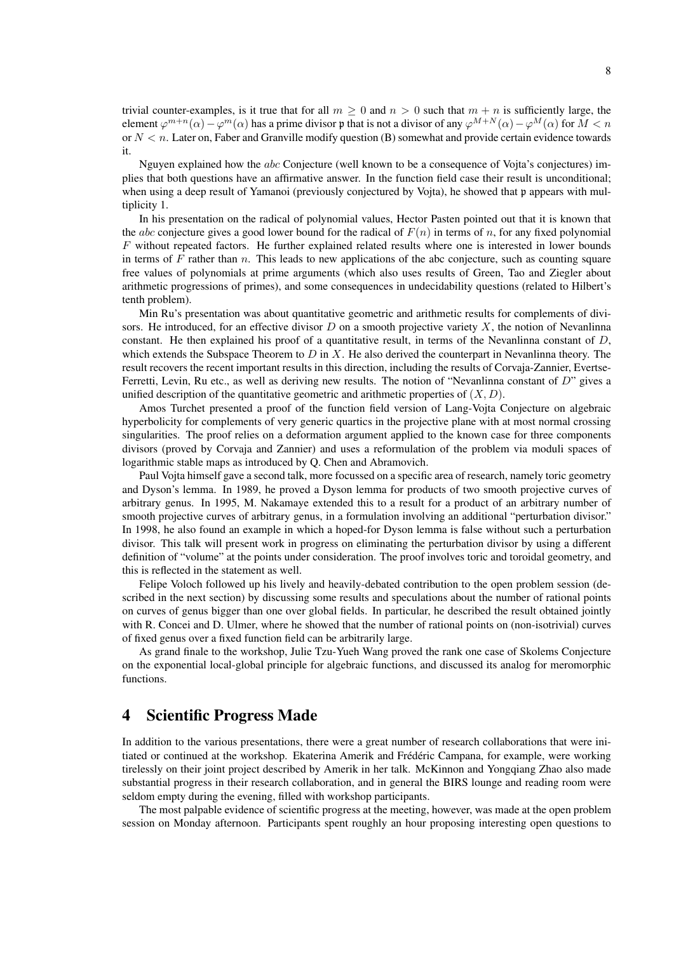trivial counter-examples, is it true that for all  $m > 0$  and  $n > 0$  such that  $m + n$  is sufficiently large, the element  $\varphi^{m+n}(\alpha) - \varphi^m(\alpha)$  has a prime divisor p that is not a divisor of any  $\varphi^{M+N}(\alpha) - \varphi^M(\alpha)$  for  $M < n$ or  $N < n$ . Later on, Faber and Granville modify question (B) somewhat and provide certain evidence towards it.

Nguyen explained how the abc Conjecture (well known to be a consequence of Vojta's conjectures) implies that both questions have an affirmative answer. In the function field case their result is unconditional; when using a deep result of Yamanoi (previously conjectured by Vojta), he showed that p appears with multiplicity 1.

In his presentation on the radical of polynomial values, Hector Pasten pointed out that it is known that the *abc* conjecture gives a good lower bound for the radical of  $F(n)$  in terms of n, for any fixed polynomial F without repeated factors. He further explained related results where one is interested in lower bounds in terms of  $F$  rather than  $n$ . This leads to new applications of the abc conjecture, such as counting square free values of polynomials at prime arguments (which also uses results of Green, Tao and Ziegler about arithmetic progressions of primes), and some consequences in undecidability questions (related to Hilbert's tenth problem).

Min Ru's presentation was about quantitative geometric and arithmetic results for complements of divisors. He introduced, for an effective divisor  $D$  on a smooth projective variety  $X$ , the notion of Nevanlinna constant. He then explained his proof of a quantitative result, in terms of the Nevanlinna constant of D, which extends the Subspace Theorem to  $D$  in  $X$ . He also derived the counterpart in Nevanlinna theory. The result recovers the recent important results in this direction, including the results of Corvaja-Zannier, Evertse-Ferretti, Levin, Ru etc., as well as deriving new results. The notion of "Nevanlinna constant of D" gives a unified description of the quantitative geometric and arithmetic properties of  $(X, D)$ .

Amos Turchet presented a proof of the function field version of Lang-Vojta Conjecture on algebraic hyperbolicity for complements of very generic quartics in the projective plane with at most normal crossing singularities. The proof relies on a deformation argument applied to the known case for three components divisors (proved by Corvaja and Zannier) and uses a reformulation of the problem via moduli spaces of logarithmic stable maps as introduced by Q. Chen and Abramovich.

Paul Vojta himself gave a second talk, more focussed on a specific area of research, namely toric geometry and Dyson's lemma. In 1989, he proved a Dyson lemma for products of two smooth projective curves of arbitrary genus. In 1995, M. Nakamaye extended this to a result for a product of an arbitrary number of smooth projective curves of arbitrary genus, in a formulation involving an additional "perturbation divisor." In 1998, he also found an example in which a hoped-for Dyson lemma is false without such a perturbation divisor. This talk will present work in progress on eliminating the perturbation divisor by using a different definition of "volume" at the points under consideration. The proof involves toric and toroidal geometry, and this is reflected in the statement as well.

Felipe Voloch followed up his lively and heavily-debated contribution to the open problem session (described in the next section) by discussing some results and speculations about the number of rational points on curves of genus bigger than one over global fields. In particular, he described the result obtained jointly with R. Concei and D. Ulmer, where he showed that the number of rational points on (non-isotrivial) curves of fixed genus over a fixed function field can be arbitrarily large.

As grand finale to the workshop, Julie Tzu-Yueh Wang proved the rank one case of Skolems Conjecture on the exponential local-global principle for algebraic functions, and discussed its analog for meromorphic functions.

## 4 Scientific Progress Made

In addition to the various presentations, there were a great number of research collaborations that were initiated or continued at the workshop. Ekaterina Amerik and Frédéric Campana, for example, were working tirelessly on their joint project described by Amerik in her talk. McKinnon and Yongqiang Zhao also made substantial progress in their research collaboration, and in general the BIRS lounge and reading room were seldom empty during the evening, filled with workshop participants.

The most palpable evidence of scientific progress at the meeting, however, was made at the open problem session on Monday afternoon. Participants spent roughly an hour proposing interesting open questions to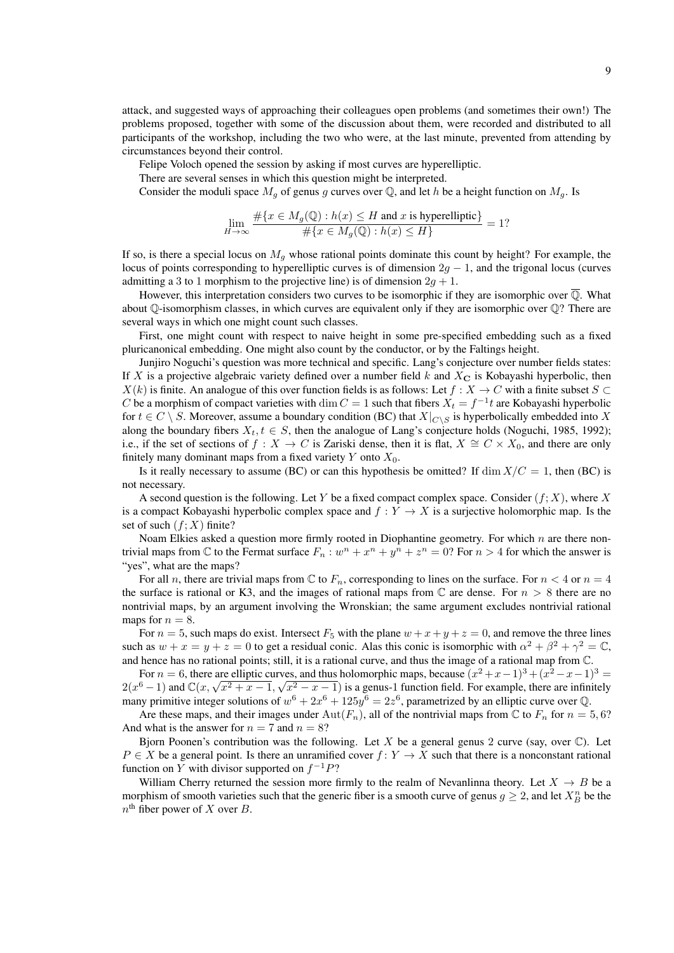attack, and suggested ways of approaching their colleagues open problems (and sometimes their own!) The problems proposed, together with some of the discussion about them, were recorded and distributed to all participants of the workshop, including the two who were, at the last minute, prevented from attending by circumstances beyond their control.

Felipe Voloch opened the session by asking if most curves are hyperelliptic.

There are several senses in which this question might be interpreted.

Consider the moduli space  $M_q$  of genus g curves over Q, and let h be a height function on  $M_q$ . Is

$$
\lim_{H \to \infty} \frac{\#\{x \in M_g(\mathbb{Q}) : h(x) \le H \text{ and } x \text{ is hyperelliptic}\}}{\#\{x \in M_g(\mathbb{Q}) : h(x) \le H\}} = 1?
$$

If so, is there a special locus on  $M<sub>q</sub>$  whose rational points dominate this count by height? For example, the locus of points corresponding to hyperelliptic curves is of dimension  $2q - 1$ , and the trigonal locus (curves admitting a 3 to 1 morphism to the projective line) is of dimension  $2g + 1$ .

However, this interpretation considers two curves to be isomorphic if they are isomorphic over  $\overline{Q}$ . What about  $\mathbb Q$ -isomorphism classes, in which curves are equivalent only if they are isomorphic over  $\mathbb Q$ ? There are several ways in which one might count such classes.

First, one might count with respect to naive height in some pre-specified embedding such as a fixed pluricanonical embedding. One might also count by the conductor, or by the Faltings height.

Junjiro Noguchi's question was more technical and specific. Lang's conjecture over number fields states: If X is a projective algebraic variety defined over a number field  $k$  and  $X_{\rm C}$  is Kobayashi hyperbolic, then  $X(k)$  is finite. An analogue of this over function fields is as follows: Let  $f : X \to C$  with a finite subset  $S \subset$ C be a morphism of compact varieties with  $\dim C = 1$  such that fibers  $X_t = f^{-1}t$  are Kobayashi hyperbolic for  $t \in C \setminus S$ . Moreover, assume a boundary condition (BC) that  $X|_{C \setminus S}$  is hyperbolically embedded into X along the boundary fibers  $X_t$ ,  $t \in S$ , then the analogue of Lang's conjecture holds (Noguchi, 1985, 1992); i.e., if the set of sections of  $f : X \to C$  is Zariski dense, then it is flat,  $X \cong C \times X_0$ , and there are only finitely many dominant maps from a fixed variety  $Y$  onto  $X_0$ .

Is it really necessary to assume (BC) or can this hypothesis be omitted? If dim  $X/C = 1$ , then (BC) is not necessary.

A second question is the following. Let Y be a fixed compact complex space. Consider  $(f; X)$ , where X is a compact Kobayashi hyperbolic complex space and  $f: Y \to X$  is a surjective holomorphic map. Is the set of such  $(f; X)$  finite?

Noam Elkies asked a question more firmly rooted in Diophantine geometry. For which  $n$  are there nontrivial maps from  $\mathbb C$  to the Fermat surface  $F_n : w^n + x^n + y^n + z^n = 0$ ? For  $n > 4$  for which the answer is "yes", what are the maps?

For all n, there are trivial maps from  $\mathbb C$  to  $F_n$ , corresponding to lines on the surface. For  $n < 4$  or  $n = 4$ the surface is rational or K3, and the images of rational maps from  $\mathbb C$  are dense. For  $n > 8$  there are no nontrivial maps, by an argument involving the Wronskian; the same argument excludes nontrivial rational maps for  $n = 8$ .

For  $n = 5$ , such maps do exist. Intersect  $F_5$  with the plane  $w + x + y + z = 0$ , and remove the three lines such as  $w + x = y + z = 0$  to get a residual conic. Alas this conic is isomorphic with  $\alpha^2 + \beta^2 + \gamma^2 = \mathbb{C}$ , and hence has no rational points; still, it is a rational curve, and thus the image of a rational map from C.

For  $n = 6$ , there are elliptic curves, and thus holomorphic maps, because  $(x^2 + x - 1)^3 + (x^2 - x - 1)^3 =$ For  $n = 0$ , there are emptic curves, and thus holomorphic maps, because  $(x^2 + x - 1)^3 + (x^2 - x - 1)^3 = 2(x^6 - 1)$  and  $\mathbb{C}(x, \sqrt{x^2 + x - 1}, \sqrt{x^2 - x - 1})$  is a genus-1 function field. For example, there are infinitely many primitive integer solutions of  $w^6 + 2x^6 + 125y^6 = 2z^6$ , parametrized by an elliptic curve over Q.

Are these maps, and their images under  $Aut(F_n)$ , all of the nontrivial maps from  $\mathbb C$  to  $F_n$  for  $n = 5, 6$ ? And what is the answer for  $n = 7$  and  $n = 8$ ?

Bjorn Poonen's contribution was the following. Let X be a general genus 2 curve (say, over  $\mathbb{C}$ ). Let  $P \in X$  be a general point. Is there an unramified cover  $f: Y \to X$  such that there is a nonconstant rational function on Y with divisor supported on  $f^{-1}P$ ?

William Cherry returned the session more firmly to the realm of Nevanlinna theory. Let  $X \to B$  be a morphism of smooth varieties such that the generic fiber is a smooth curve of genus  $g \ge 2$ , and let  $X_B^n$  be the  $n^{\text{th}}$  fiber power of X over B.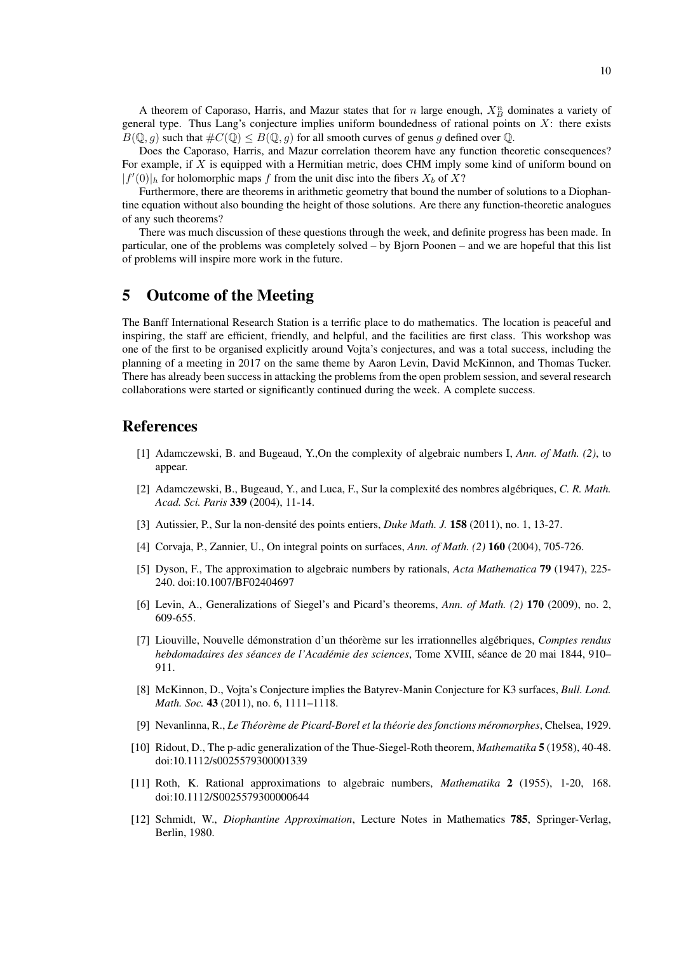A theorem of Caporaso, Harris, and Mazur states that for n large enough,  $X_B^n$  dominates a variety of general type. Thus Lang's conjecture implies uniform boundedness of rational points on  $X$ : there exists  $B(\mathbb{Q}, g)$  such that  $\#C(\mathbb{Q}) \leq B(\mathbb{Q}, g)$  for all smooth curves of genus g defined over  $\mathbb{Q}$ .

Does the Caporaso, Harris, and Mazur correlation theorem have any function theoretic consequences? For example, if X is equipped with a Hermitian metric, does CHM imply some kind of uniform bound on  $|f'(0)|_h$  for holomorphic maps f from the unit disc into the fibers  $X_b$  of  $X$ ?

Furthermore, there are theorems in arithmetic geometry that bound the number of solutions to a Diophantine equation without also bounding the height of those solutions. Are there any function-theoretic analogues of any such theorems?

There was much discussion of these questions through the week, and definite progress has been made. In particular, one of the problems was completely solved – by Bjorn Poonen – and we are hopeful that this list of problems will inspire more work in the future.

## 5 Outcome of the Meeting

The Banff International Research Station is a terrific place to do mathematics. The location is peaceful and inspiring, the staff are efficient, friendly, and helpful, and the facilities are first class. This workshop was one of the first to be organised explicitly around Vojta's conjectures, and was a total success, including the planning of a meeting in 2017 on the same theme by Aaron Levin, David McKinnon, and Thomas Tucker. There has already been success in attacking the problems from the open problem session, and several research collaborations were started or significantly continued during the week. A complete success.

## References

- [1] Adamczewski, B. and Bugeaud, Y.,On the complexity of algebraic numbers I, *Ann. of Math. (2)*, to appear.
- [2] Adamczewski, B., Bugeaud, Y., and Luca, F., Sur la complexité des nombres algébriques, C. R. Math. *Acad. Sci. Paris* 339 (2004), 11-14.
- [3] Autissier, P., Sur la non-densité des points entiers, *Duke Math. J.* **158** (2011), no. 1, 13-27.
- [4] Corvaja, P., Zannier, U., On integral points on surfaces, *Ann. of Math. (2)* 160 (2004), 705-726.
- [5] Dyson, F., The approximation to algebraic numbers by rationals, *Acta Mathematica* 79 (1947), 225- 240. doi:10.1007/BF02404697
- [6] Levin, A., Generalizations of Siegel's and Picard's theorems, *Ann. of Math. (2)* 170 (2009), no. 2, 609-655.
- [7] Liouville, Nouvelle démonstration d'un théorème sur les irrationnelles algébriques, Comptes rendus *hebdomadaires des séances de l'Académie des sciences*, Tome XVIII, séance de 20 mai 1844, 910– 911.
- [8] McKinnon, D., Vojta's Conjecture implies the Batyrev-Manin Conjecture for K3 surfaces, *Bull. Lond. Math. Soc.* **43** (2011), no. 6, 1111–1118.
- [9] Nevanlinna, R., *Le Theor ´ eme de Picard-Borel et la th ` eorie des fonctions m ´ eromorphes ´* , Chelsea, 1929.
- [10] Ridout, D., The p-adic generalization of the Thue-Siegel-Roth theorem, *Mathematika* 5 (1958), 40-48. doi:10.1112/s0025579300001339
- [11] Roth, K. Rational approximations to algebraic numbers, *Mathematika* 2 (1955), 1-20, 168. doi:10.1112/S0025579300000644
- [12] Schmidt, W., *Diophantine Approximation*, Lecture Notes in Mathematics 785, Springer-Verlag, Berlin, 1980.